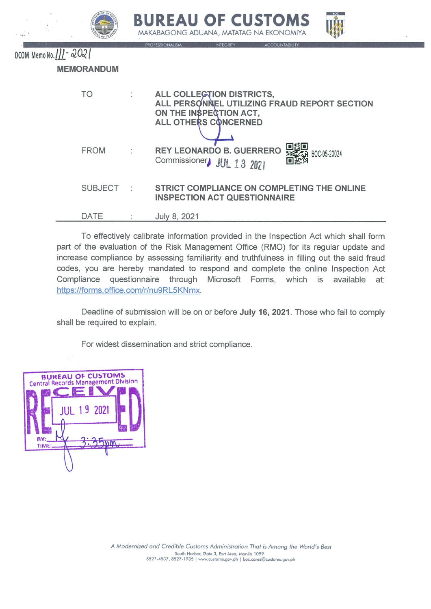|                          |                   | <b>BOC</b><br><b>BUREAU OF CUSTOMS</b><br>MAKABAGONG ADUANA, MATATAG NA EKONOMIYA<br><b>PROFESSIONALISM</b><br><b>ACCOUNTABILITY</b><br>INTEGRITY |
|--------------------------|-------------------|---------------------------------------------------------------------------------------------------------------------------------------------------|
| OCOM Memo No. 111 - 2021 | <b>MEMORANDUM</b> |                                                                                                                                                   |
|                          | TO                | ALL COLLECTION DISTRICTS,<br>ALL PERSONNEL UTILIZING FRAUD REPORT SECTION<br>ON THE INSPECTION ACT,<br><b>ALL OTHERS CONCERNED</b>                |
|                          | <b>FROM</b>       | <b>REY LEONARDO B. GUERRERO</b><br>BOC-05-20024<br>Commissioner JUL 13 2021                                                                       |
|                          | <b>SUBJECT</b>    | STRICT COMPLIANCE ON COMPLETING THE ONLINE<br><b>INSPECTION ACT QUESTIONNAIRE</b>                                                                 |
|                          | DATE              | July 8, 2021                                                                                                                                      |

To effectively calibrate information provided in the Inspection Act which shall form part of the evaluation of the Risk Management Office (RMO) for its regular update and increase compliance by assessing familiarity and truthfulness in filling out the said fraud codes, you are hereby mandated to respond and complete the online Inspection Act Compliance questionnaire through Microsoft Forms, which is available at: https://forms.office.com/r/nu9RL5KNmx.

Deadline of submission will be on or before July 16, 2021. Those who fail to comply shall be required to explain.

For widest dissemination and strict compliance.

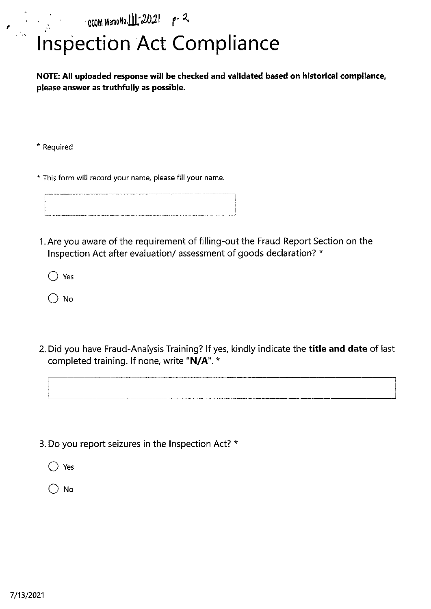$\sim$  000M Memo No. 11.  $2021$  p.  $\sim$ 

## **Inspection Act Compliance**

NOTE: All uploaded response will be checked and validated based on historical compliance, please answer as truthfully as possible.

\* Required

,

A ,

. \* ..

.\*

\* This form will record your name, please fill your name.

**I** ~~~~~~~ <u>!</u> .<br>بالمستمر ال

I. Are you aware of the requirement of filling-out the Fraud Report Section on the Inspection Act after evaluation/ assessment of goods declaration? \*

 $\bigcirc$  Yes

 $\bigcirc$  No

2. Did you have Fraud-Analysis Training? If yes, kindly indicate the **title and date** of last completed training. If none, write "N/A". \*

3. Do you report seizures in the Inspection Act? \*

 $\bigcirc$  Yes

 $\bigcirc$  No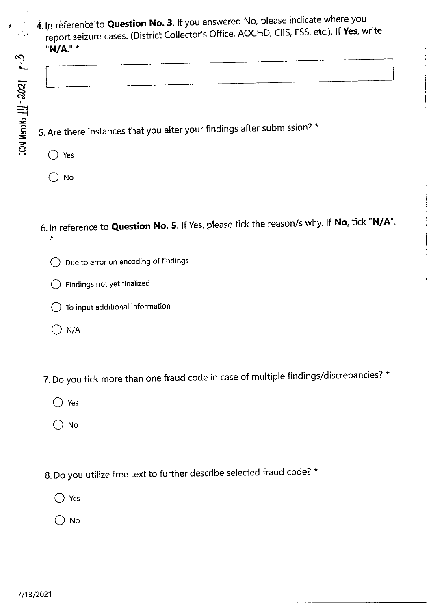,

,

4. In reference to **Question No. 3**. If you answered No, please indicate where you report seizure cases. (District Collector's Office, AOCHD, CIIS, ESS, etc.). If Yes, write "N/A." \*

5. Are there instances that you alter your findings after submission? \*

- (D Yes
- $()$  No
- 6. In reference to Question No. 5. If Yes, please tick the reason/s why. If No, tick "N/A". \*
	- O Due to error on encoding of findings
	- $\bigcirc$  Findings not yet finalized
	- $\bigcirc$  To input additional information
	- $\bigcirc$  N/A
- 7. Do you tick more than one fraud code in case of multiple findings/discrepancies? \*
	- $\bigcirc$  Yes
	- ( ) No
- 8. Do you utilize free text to further describe selected fraud code? \*
	- 'D Yes
	- $\bigcirc$  No